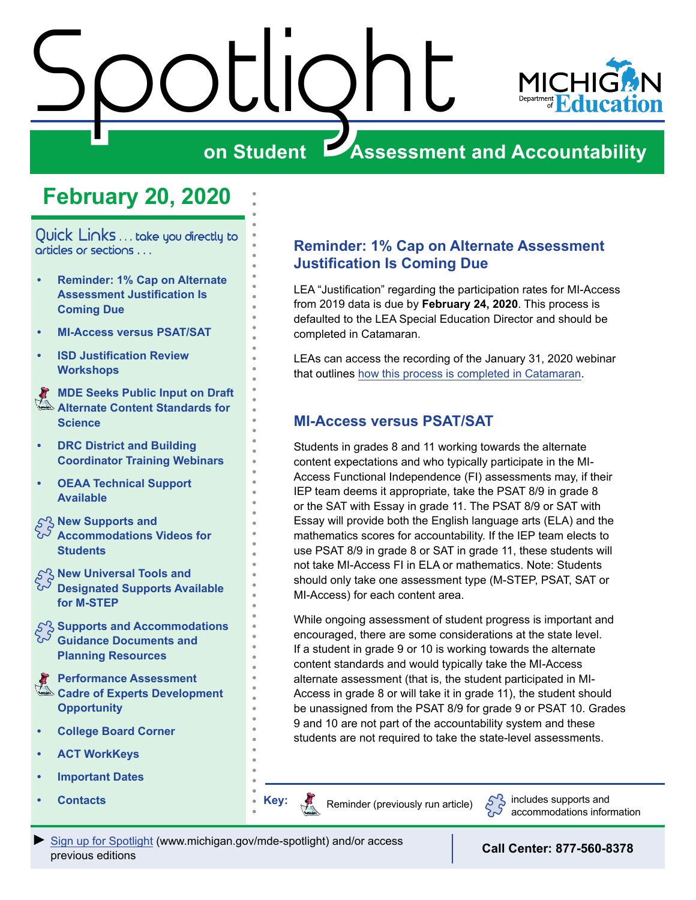# <span id="page-0-0"></span>Spotlight



#### **on Student Assessment and Accountability**

### **February 20, 2020**

Quick Links . . . take you directly to articles or sections . . .

- **• Reminder: 1% Cap on Alternate Assessment Justification Is Coming Due**
- **• MI-Access versus PSAT/SAT**
- **• [ISD Justification Review](#page-1-0)  [Workshops](#page-1-0)**

Reminders **MDE Seeks Public Input on Draft [Alternate Content Standards for](#page-2-0)  [Science](#page-2-0)**

- **• [DRC District and Building](#page-2-0)  [Coordinator Training Webinars](#page-2-0)**
- **• [OEAA Technical Support](#page-3-0)  [Available](#page-3-0)**
- **S<sub>S</sub>** New Supports and
- **[Accommodations Videos for](#page-3-0)  [Students](#page-3-0)**
- $\mathcal{E}^{\diamondsuit}_{\mathcal{S}}$  New Universal Tools and **[Designated Supports Available](#page-3-0)**
- **[for M-STEP](#page-3-0) [Supports and Accommodations](#page-4-0)**
- **[Guidance Documents and](#page-4-0)  [Planning Resources](#page-4-0)**
- Reminders **[Performance Assessment](#page-4-0)  [Cadre of Experts Development](#page-4-0)  [Opportunity](#page-4-0)**
- **• [College Board Corner](#page-5-0)**
- **• [ACT WorkKeys](#page-6-0)**
- **• [Important Dates](#page-8-0)**
- **• [Contacts](#page-9-0) • Key:**

#### **Reminder: 1% Cap on Alternate Assessment Justification Is Coming Due**

LEA "Justification" regarding the participation rates for MI-Access from 2019 data is due by **February 24, 2020**. This process is defaulted to the LEA Special Education Director and should be completed in Catamaran.

LEAs can access the recording of the January 31, 2020 webinar that outlines [how this process is completed in Catamaran](https://training.catamaran.partners/past-events/).

#### **MI-Access versus PSAT/SAT**

Students in grades 8 and 11 working towards the alternate content expectations and who typically participate in the MI-Access Functional Independence (FI) assessments may, if their IEP team deems it appropriate, take the PSAT 8/9 in grade 8 or the SAT with Essay in grade 11. The PSAT 8/9 or SAT with Essay will provide both the English language arts (ELA) and the mathematics scores for accountability. If the IEP team elects to use PSAT 8/9 in grade 8 or SAT in grade 11, these students will not take MI-Access FI in ELA or mathematics. Note: Students should only take one assessment type (M-STEP, PSAT, SAT or MI-Access) for each content area.

While ongoing assessment of student progress is important and encouraged, there are some considerations at the state level. If a student in grade 9 or 10 is working towards the alternate content standards and would typically take the MI-Access alternate assessment (that is, the student participated in MI-Access in grade 8 or will take it in grade 11), the student should be unassigned from the PSAT 8/9 for grade 9 or PSAT 10. Grades 9 and 10 are not part of the accountability system and these students are not required to take the state-level assessments.

Reminders



Reminder (previously run article)  $\sum_{n=1}^{\infty}$  includes supports and accommodations information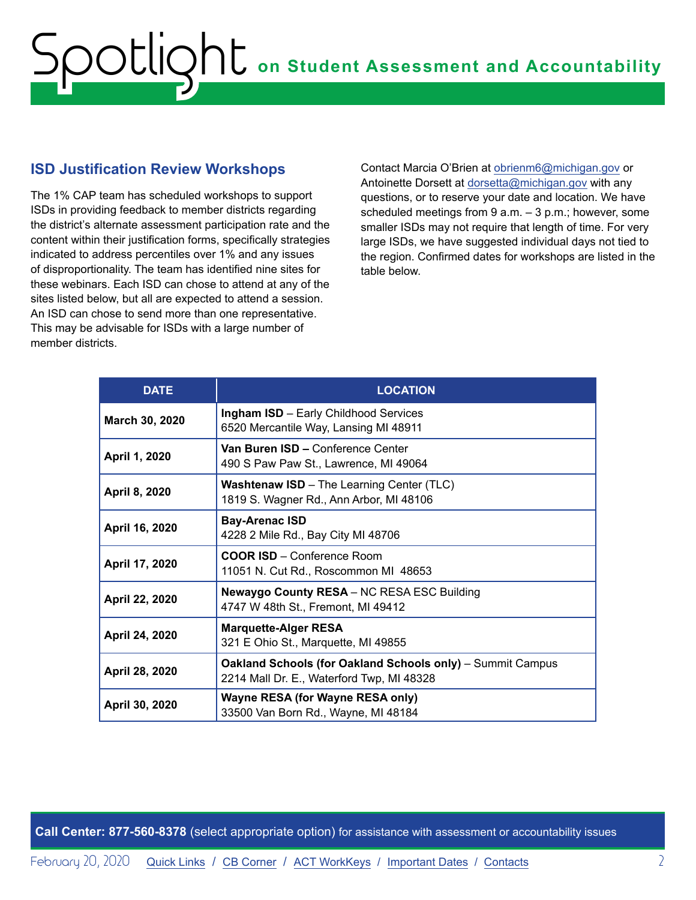#### <span id="page-1-0"></span>**ISD Justification Review Workshops**

The 1% CAP team has scheduled workshops to support ISDs in providing feedback to member districts regarding the district's alternate assessment participation rate and the content within their justification forms, specifically strategies indicated to address percentiles over 1% and any issues of disproportionality. The team has identified nine sites for these webinars. Each ISD can chose to attend at any of the sites listed below, but all are expected to attend a session. An ISD can chose to send more than one representative. This may be advisable for ISDs with a large number of member districts.

Contact Marcia O'Brien at [obrienm6@michigan.gov](mailto:obrienm6%40michigan.gov?subject=) or Antoinette Dorsett at [dorsetta@michigan.gov](mailto:dorsetta%40michigan.gov?subject=) with any questions, or to reserve your date and location. We have scheduled meetings from  $9 a.m. - 3 p.m.$ ; however, some smaller ISDs may not require that length of time. For very large ISDs, we have suggested individual days not tied to the region. Confirmed dates for workshops are listed in the table below.

| <b>DATE</b>    | <b>LOCATION</b>                                                                                                |
|----------------|----------------------------------------------------------------------------------------------------------------|
| March 30, 2020 | <b>Ingham ISD</b> - Early Childhood Services<br>6520 Mercantile Way, Lansing MI 48911                          |
| April 1, 2020  | Van Buren ISD - Conference Center<br>490 S Paw Paw St., Lawrence, MI 49064                                     |
| April 8, 2020  | <b>Washtenaw ISD</b> - The Learning Center (TLC)<br>1819 S. Wagner Rd., Ann Arbor, MI 48106                    |
| April 16, 2020 | <b>Bay-Arenac ISD</b><br>4228 2 Mile Rd., Bay City MI 48706                                                    |
| April 17, 2020 | <b>COOR ISD</b> – Conference Room<br>11051 N. Cut Rd., Roscommon MI 48653                                      |
| April 22, 2020 | <b>Newaygo County RESA - NC RESA ESC Building</b><br>4747 W 48th St., Fremont, MI 49412                        |
| April 24, 2020 | <b>Marquette-Alger RESA</b><br>321 E Ohio St., Marquette, MI 49855                                             |
| April 28, 2020 | <b>Oakland Schools (for Oakland Schools only)</b> – Summit Campus<br>2214 Mall Dr. E., Waterford Twp, MI 48328 |
| April 30, 2020 | Wayne RESA (for Wayne RESA only)<br>33500 Van Born Rd., Wayne, MI 48184                                        |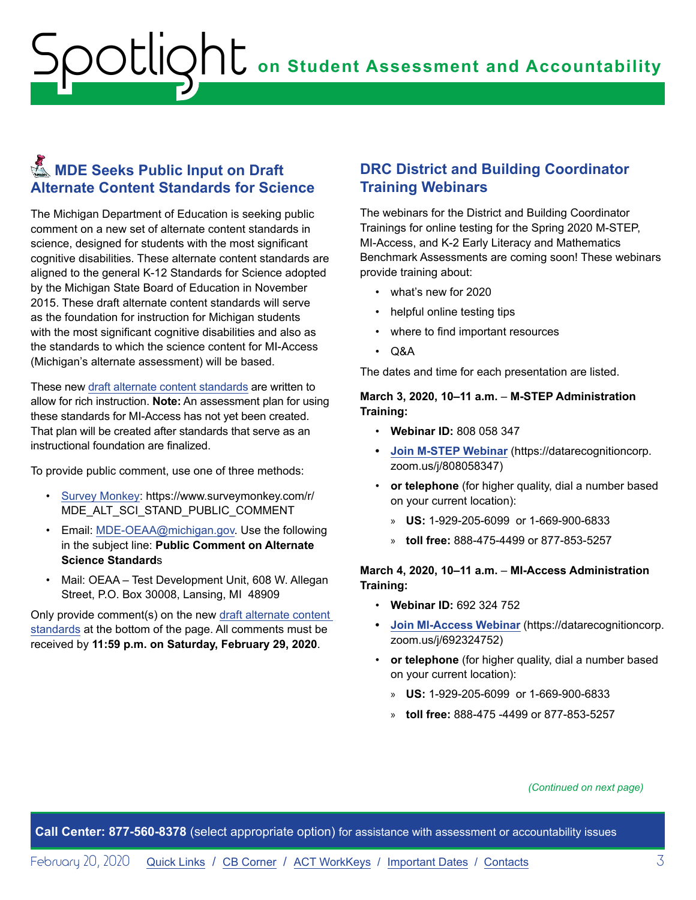#### <span id="page-2-0"></span>**KMDE Seeks Public Input on Draft Alternate Content Standards for Science**

The Michigan Department of Education is seeking public comment on a new set of alternate content standards in science, designed for students with the most significant cognitive disabilities. These alternate content standards are aligned to the general K-12 Standards for Science adopted by the Michigan State Board of Education in November 2015. These draft alternate content standards will serve as the foundation for instruction for Michigan students with the most significant cognitive disabilities and also as the standards to which the science content for MI-Access (Michigan's alternate assessment) will be based.

These new [draft alternate content standards](https://www.michigan.gov/mde/0,4615,7-140-22709_28463-162769--,00.html) are written to allow for rich instruction. **Note:** An assessment plan for using these standards for MI-Access has not yet been created. That plan will be created after standards that serve as an instructional foundation are finalized.

To provide public comment, use one of three methods:

- [Survey Monkey:](https://www.surveymonkey.com/r/MDE_ALT_SCI_STAND_PUBLIC_COMMENT) https://www.surveymonkey.com/r/ MDE\_ALT\_SCI\_STAND\_PUBLIC\_COMMENT
- Email: [MDE-OEAA@michigan.gov](mailto:MDE-OEAA%40michigan.gov?subject=Public%20Comment%20on%20Alternate%20Science%20Standards). Use the following in the subject line: **Public Comment on Alternate Science Standard**s
- Mail: OEAA Test Development Unit, 608 W. Allegan Street, P.O. Box 30008, Lansing, MI 48909

Only provide comment(s) on the new [draft alternate content](https://www.michigan.gov/mde/0,4615,7-140-22709_28463-162769--,00.html)  [standards](https://www.michigan.gov/mde/0,4615,7-140-22709_28463-162769--,00.html) at the bottom of the page. All comments must be received by **11:59 p.m. on Saturday, February 29, 2020**.

#### **DRC District and Building Coordinator Training Webinars**

The webinars for the District and Building Coordinator Trainings for online testing for the Spring 2020 M-STEP, MI-Access, and K-2 Early Literacy and Mathematics Benchmark Assessments are coming soon! These webinars provide training about:

- what's new for 2020
- helpful online testing tips
- where to find important resources
- Q&A

The dates and time for each presentation are listed.

#### **March 3, 2020, 10–11 a.m.** – **M-STEP Administration Training:**

- **Webinar ID:** 808 058 347
- **• [Join M-STEP Webinar](https://datarecognitioncorp.zoom.us/j/808058347)** (https://datarecognitioncorp. zoom.us/j/808058347)
- **or telephone** (for higher quality, dial a number based on your current location):
	- » **US:** 1-929-205-6099 or 1-669-900-6833
	- » **toll free:** 888-475-4499 or 877-853-5257

#### **March 4, 2020, 10–11 a.m.** – **MI-Access Administration Training:**

- **Webinar ID:** 692 324 752
- **• [Join MI-Access Webinar](https://datarecognitioncorp.zoom.us/j/692324752)** (https://datarecognitioncorp. zoom.us/j/692324752)
- **or telephone** (for higher quality, dial a number based on your current location):
	- » **US:** 1-929-205-6099 or 1-669-900-6833
	- » **toll free:** 888-475 -4499 or 877-853-5257

*(Continued on next page)*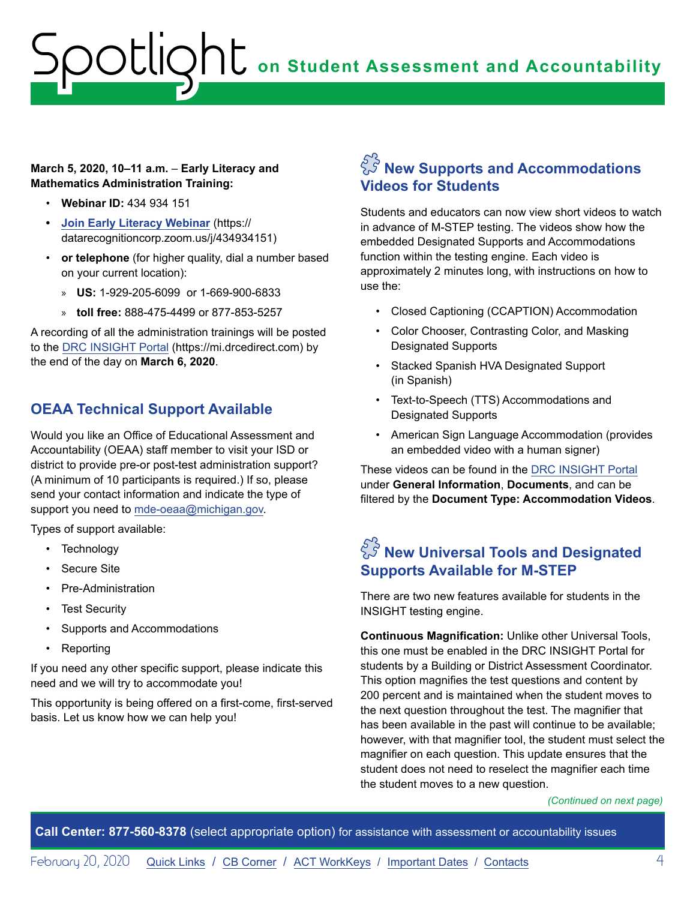#### <span id="page-3-0"></span>**March 5, 2020, 10–11 a.m.** – **Early Literacy and Mathematics Administration Training:**

- **Webinar ID:** 434 934 151
- **• [Join Early Literacy Webinar](https://datarecognitioncorp.zoom.us/j/434934151)** (https:// datarecognitioncorp.zoom.us/j/434934151)
- **or telephone** (for higher quality, dial a number based on your current location):
	- » **US:** 1-929-205-6099 or 1-669-900-6833
	- » **toll free:** 888-475-4499 or 877-853-5257

A recording of all the administration trainings will be posted to the [DRC INSIGHT Portal](https://mi.drcedirect.com) (https://mi.drcedirect.com) by the end of the day on **March 6, 2020**.

#### **OEAA Technical Support Available**

Would you like an Office of Educational Assessment and Accountability (OEAA) staff member to visit your ISD or district to provide pre-or post-test administration support? (A minimum of 10 participants is required.) If so, please send your contact information and indicate the type of support you need to [mde-oeaa@michigan.gov.](mailto:mde-oeaa%40michigan.gov?subject=)

Types of support available:

- Technology
- Secure Site
- Pre-Administration
- Test Security
- Supports and Accommodations
- Reporting

If you need any other specific support, please indicate this need and we will try to accommodate you!

This opportunity is being offered on a first-come, first-served basis. Let us know how we can help you!

#### $\tilde{C}^{\tilde{S}}$  New Supports and Accommodations **Videos for Students**

Students and educators can now view short videos to watch in advance of M-STEP testing. The videos show how the embedded Designated Supports and Accommodations function within the testing engine. Each video is approximately 2 minutes long, with instructions on how to use the:

- Closed Captioning (CCAPTION) Accommodation
- Color Chooser, Contrasting Color, and Masking Designated Supports
- Stacked Spanish HVA Designated Support (in Spanish)
- Text-to-Speech (TTS) Accommodations and Designated Supports
- American Sign Language Accommodation (provides an embedded video with a human signer)

These videos can be found in the [DRC INSIGHT Portal](https://mi.drcedirect.com) under **General Information**, **Documents**, and can be filtered by the **Document Type: Accommodation Videos**.

#### $\tilde{\mathbb{S}}$  New Universal Tools and Designated **Supports Available for M-STEP**

There are two new features available for students in the INSIGHT testing engine.

**Continuous Magnification:** Unlike other Universal Tools, this one must be enabled in the DRC INSIGHT Portal for students by a Building or District Assessment Coordinator. This option magnifies the test questions and content by 200 percent and is maintained when the student moves to the next question throughout the test. The magnifier that has been available in the past will continue to be available; however, with that magnifier tool, the student must select the magnifier on each question. This update ensures that the student does not need to reselect the magnifier each time the student moves to a new question.

*(Continued on next page)*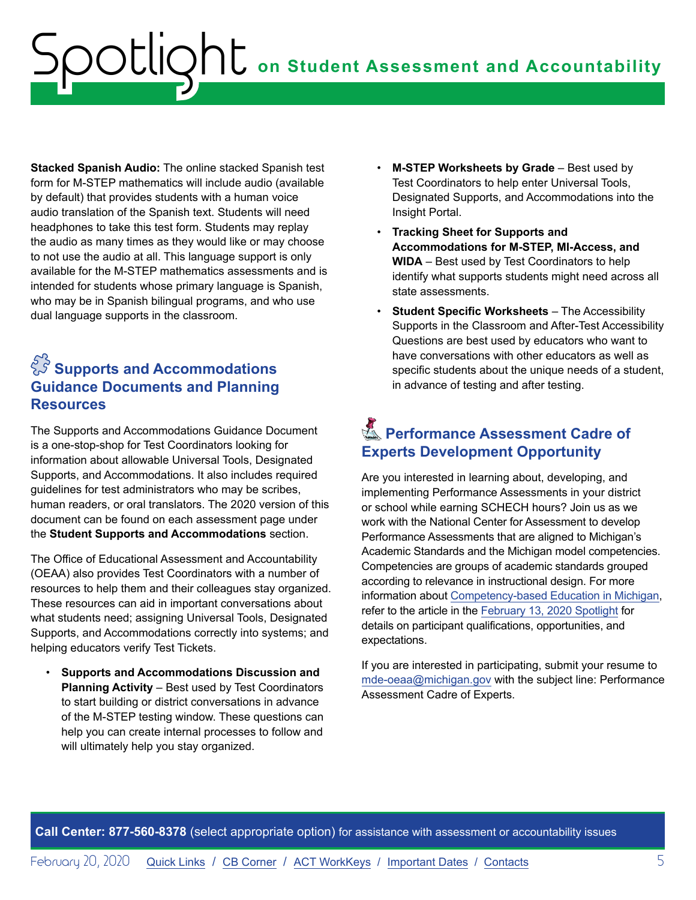<span id="page-4-0"></span>**Stacked Spanish Audio:** The online stacked Spanish test form for M-STEP mathematics will include audio (available by default) that provides students with a human voice audio translation of the Spanish text. Students will need headphones to take this test form. Students may replay the audio as many times as they would like or may choose to not use the audio at all. This language support is only available for the M-STEP mathematics assessments and is intended for students whose primary language is Spanish, who may be in Spanish bilingual programs, and who use dual language supports in the classroom.

#### $\tilde{C}^{\tilde{S}}$  Supports and Accommodations **Guidance Documents and Planning Resources**

The Supports and Accommodations Guidance Document is a one-stop-shop for Test Coordinators looking for information about allowable Universal Tools, Designated Supports, and Accommodations. It also includes required guidelines for test administrators who may be scribes, human readers, or oral translators. The 2020 version of this document can be found on each assessment page under the **Student Supports and Accommodations** section.

The Office of Educational Assessment and Accountability (OEAA) also provides Test Coordinators with a number of resources to help them and their colleagues stay organized. These resources can aid in important conversations about what students need; assigning Universal Tools, Designated Supports, and Accommodations correctly into systems; and helping educators verify Test Tickets.

• **Supports and Accommodations Discussion and Planning Activity** – Best used by Test Coordinators to start building or district conversations in advance of the M-STEP testing window. These questions can help you can create internal processes to follow and will ultimately help you stay organized.

- **M-STEP Worksheets by Grade** Best used by Test Coordinators to help enter Universal Tools, Designated Supports, and Accommodations into the Insight Portal.
- **Tracking Sheet for Supports and Accommodations for M-STEP, MI-Access, and WIDA** – Best used by Test Coordinators to help identify what supports students might need across all state assessments.
- **Student Specific Worksheets** The Accessibility Supports in the Classroom and After-Test Accessibility Questions are best used by educators who want to have conversations with other educators as well as specific students about the unique needs of a student, in advance of testing and after testing.

#### **Reformance Assessment Cadre of Experts Development Opportunity**

Are you interested in learning about, developing, and implementing Performance Assessments in your district or school while earning SCHECH hours? Join us as we work with the National Center for Assessment to develop Performance Assessments that are aligned to Michigan's Academic Standards and the Michigan model competencies. Competencies are groups of academic standards grouped according to relevance in instructional design. For more information about [Competency-based Education in Michigan](https://www.michigan.gov/mde/0,4615,7-140-28753_65803-322532--,00.html), refer to the article in the [February 13, 2020 Spotlight](https://www.michigan.gov/documents/mde/Spotlight_2-13-20_681160_7.pdf) for details on participant qualifications, opportunities, and expectations.

If you are interested in participating, submit your resume to [mde-oeaa@michigan.gov](mailto:mde-oeaa%40michigan.gov?subject=Performance%20Assessment%20Cadre%20of%20Experts) with the subject line: Performance Assessment Cadre of Experts.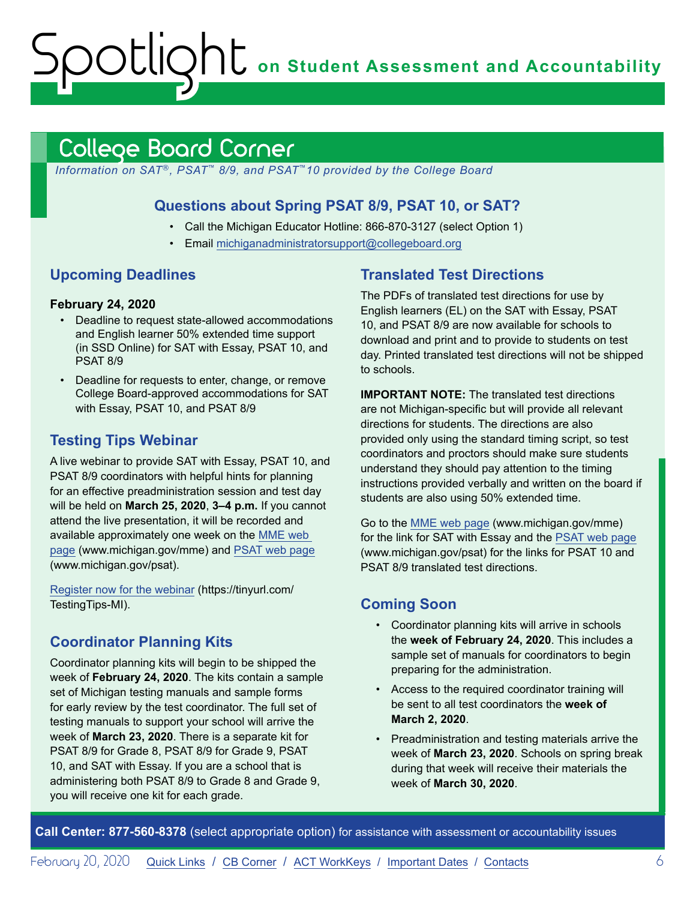**OC** on Student Assessment and Accountability

#### <span id="page-5-1"></span>College Board Corner

*Information on SAT*®*, PSAT*™ *8/9, and PSAT*™*10 provided by the College Board*

#### **Questions about Spring PSAT 8/9, PSAT 10, or SAT?**

- Call the Michigan Educator Hotline: 866-870-3127 (select Option 1)
- Email [michiganadministratorsupport@collegeboard.org](mailto:michiganadministratorsupport%40collegeboard.org?subject=)

#### **Upcoming Deadlines**

<span id="page-5-0"></span>octlic

#### **February 24, 2020**

- Deadline to request state-allowed accommodations and English learner 50% extended time support (in SSD Online) for SAT with Essay, PSAT 10, and PSAT 8/9
- Deadline for requests to enter, change, or remove College Board-approved accommodations for SAT with Essay, PSAT 10, and PSAT 8/9

#### **Testing Tips Webinar**

A live webinar to provide SAT with Essay, PSAT 10, and PSAT 8/9 coordinators with helpful hints for planning for an effective preadministration session and test day will be held on **March 25, 2020**, **3–4 p.m.** If you cannot attend the live presentation, it will be recorded and available approximately one week on the [MME web](www.michigan.gov/mme)  [page](www.michigan.gov/mme) (www.michigan.gov/mme) and [PSAT web page](http://www.michigan.gov/psat) (www.michigan.gov/psat).

[Register now for the webinar](https://tinyurl.com/TestingTips-MI) (https://tinyurl.com/ TestingTips-MI).

#### **Coordinator Planning Kits**

Coordinator planning kits will begin to be shipped the week of **February 24, 2020**. The kits contain a sample set of Michigan testing manuals and sample forms for early review by the test coordinator. The full set of testing manuals to support your school will arrive the week of **March 23, 2020**. There is a separate kit for PSAT 8/9 for Grade 8, PSAT 8/9 for Grade 9, PSAT 10, and SAT with Essay. If you are a school that is administering both PSAT 8/9 to Grade 8 and Grade 9, you will receive one kit for each grade.

#### **Translated Test Directions**

The PDFs of translated test directions for use by English learners (EL) on the SAT with Essay, PSAT 10, and PSAT 8/9 are now available for schools to download and print and to provide to students on test day. Printed translated test directions will not be shipped to schools.

**IMPORTANT NOTE:** The translated test directions are not Michigan-specific but will provide all relevant directions for students. The directions are also provided only using the standard timing script, so test coordinators and proctors should make sure students understand they should pay attention to the timing instructions provided verbally and written on the board if students are also using 50% extended time.

Go to the [MME web page](www.michigan.gov/mme) (www.michigan.gov/mme) for the link for SAT with Essay and the [PSAT web page](http://www.michigan.gov/psat) (www.michigan.gov/psat) for the links for PSAT 10 and PSAT 8/9 translated test directions.

#### **Coming Soon**

- Coordinator planning kits will arrive in schools the **week of February 24, 2020**. This includes a sample set of manuals for coordinators to begin preparing for the administration.
- Access to the required coordinator training will be sent to all test coordinators the **week of March 2, 2020**.
- Preadministration and testing materials arrive the week of **March 23, 2020**. Schools on spring break during that week will receive their materials the week of **March 30, 2020**.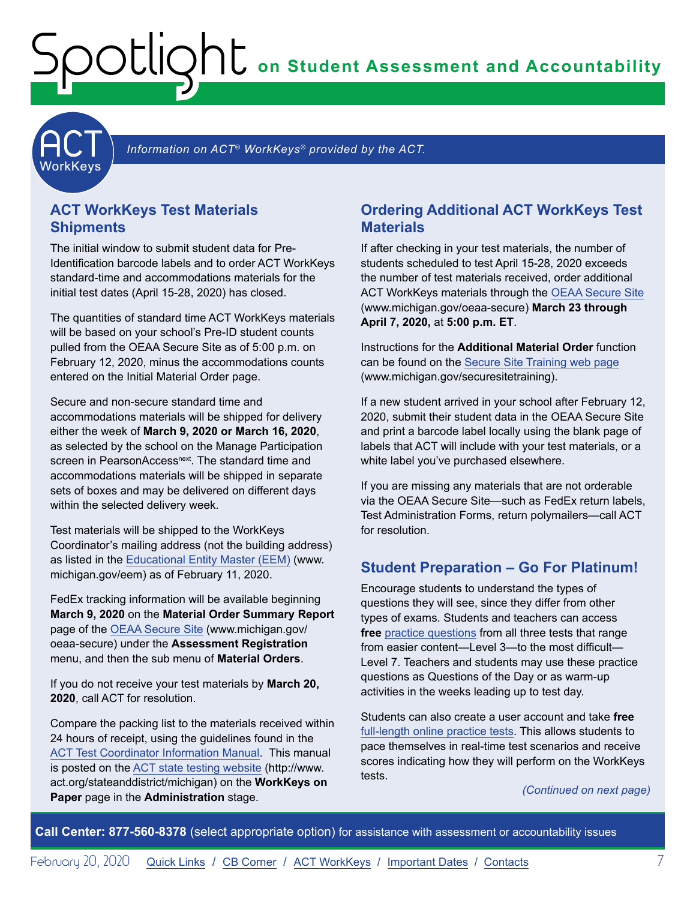**on Student Assessment and Accountability**

<span id="page-6-1"></span>

Information on ACT<sup>®</sup> WorkKeys<sup>®</sup> provided by the ACT.

#### **ACT WorkKeys Test Materials Shipments**

<span id="page-6-0"></span>Spotlight

The initial window to submit student data for Pre-Identification barcode labels and to order ACT WorkKeys standard-time and accommodations materials for the initial test dates (April 15-28, 2020) has closed.

The quantities of standard time ACT WorkKeys materials will be based on your school's Pre-ID student counts pulled from the OEAA Secure Site as of 5:00 p.m. on February 12, 2020, minus the accommodations counts entered on the Initial Material Order page.

Secure and non-secure standard time and accommodations materials will be shipped for delivery either the week of **March 9, 2020 or March 16, 2020**, as selected by the school on the Manage Participation screen in PearsonAccess<sup>next</sup>. The standard time and accommodations materials will be shipped in separate sets of boxes and may be delivered on different days within the selected delivery week.

Test materials will be shipped to the WorkKeys Coordinator's mailing address (not the building address) as listed in the [Educational Entity Master \(EEM\)](www.michigan.gov/EEM) (www. michigan.gov/eem) as of February 11, 2020.

FedEx tracking information will be available beginning **March 9, 2020** on the **Material Order Summary Report** page of the [OEAA Secure Site](http://www.michigan.gov/oeaa-secure) (www.michigan.gov/ oeaa-secure) under the **Assessment Registration**  menu, and then the sub menu of **Material Orders**.

If you do not receive your test materials by **March 20, 2020**, call ACT for resolution.

Compare the packing list to the materials received within 24 hours of receipt, using the guidelines found in the [ACT Test Coordinator Information Manual](https://www.act.org/content/dam/act/secured/documents/pdfs/state-district-test-coordinator-paper-test.pdf). This manual is posted on the [ACT state testing website](http://www.act.org/stateanddistrict/michigan) (http://www. act.org/stateanddistrict/michigan) on the **WorkKeys on Paper** page in the **Administration** stage.

#### **Ordering Additional ACT WorkKeys Test Materials**

If after checking in your test materials, the number of students scheduled to test April 15-28, 2020 exceeds the number of test materials received, order additional ACT WorkKeys materials through the [OEAA Secure Site](http://www.michigan.gov/oeaa-secure) (www.michigan.gov/oeaa-secure) **March 23 through April 7, 2020,** at **5:00 p.m. ET**.

Instructions for the **Additional Material Order** function can be found on the [Secure Site Training web page](http://www.michigan.gov/securesitetraining) (www.michigan.gov/securesitetraining).

If a new student arrived in your school after February 12, 2020, submit their student data in the OEAA Secure Site and print a barcode label locally using the blank page of labels that ACT will include with your test materials, or a white label you've purchased elsewhere.

If you are missing any materials that are not orderable via the OEAA Secure Site—such as FedEx return labels, Test Administration Forms, return polymailers—call ACT for resolution.

#### **Student Preparation – Go For Platinum!**

Encourage students to understand the types of questions they will see, since they differ from other types of exams. Students and teachers can access **free** [practice questions](https://www.act.org/content/act/en/products-and-services/workkeys-for-job-seekers/preparation.html) from all three tests that range from easier content—Level 3—to the most difficult— Level 7. Teachers and students may use these practice questions as Questions of the Day or as warm-up activities in the weeks leading up to test day.

Students can also create a user account and take **free** [full-length online practice tests](https://testregistration.org/rsp/Login.do?event=go&realm=20770563). This allows students to pace themselves in real-time test scenarios and receive scores indicating how they will perform on the WorkKeys tests.

*(Continued on next page)*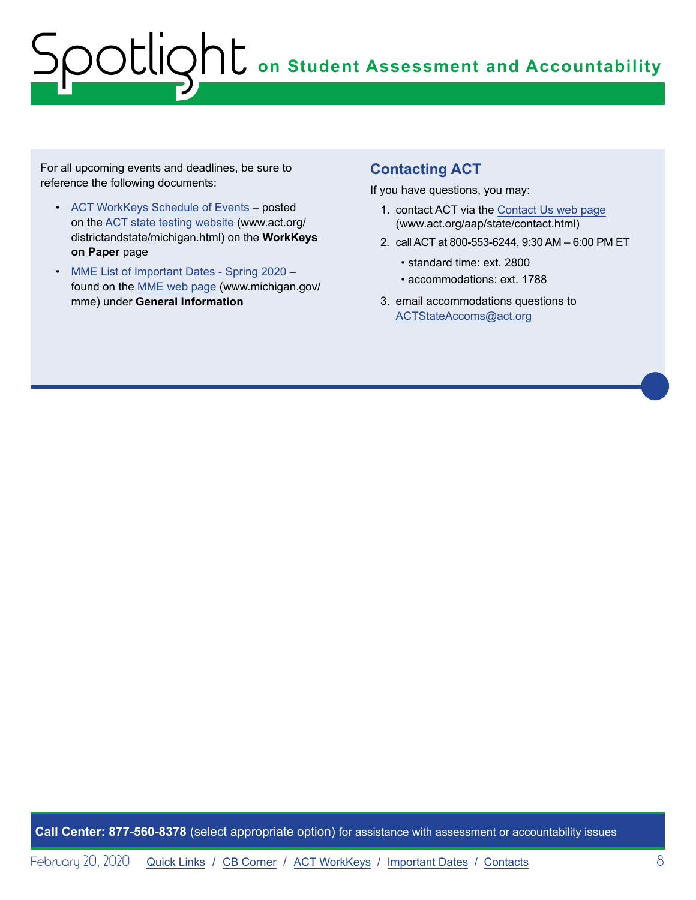For all upcoming events and deadlines, be sure to reference the following documents:

- [ACT WorkKeys Schedule of Events](http://www.act.org/content/dam/act/unsecured/documents/ScheduleofEventsWorkKeys-MI.pdf)  posted on the [ACT state testing website](http://www.act.org/content/act/en/products-and-services/state-and-district-solutions/michigan.html) (www.act.org/ districtandstate/michigan.html) on the **WorkKeys on Paper** page
- [MME List of Important Dates Spring 2020](https://www.michigan.gov/documents/mde/MME_List_of_Important_Dates_668755_7.pdf) found on the [MME web page](www.michigan.gov/mme) (www.michigan.gov/ mme) under **General Information**

#### **Contacting ACT**

If you have questions, you may:

- 1. contact ACT via the [Contact Us web page](http://www.act.org/aap/state/contact.html) ([www.act.org/aap/state/contact.html\)](https://www.act.org/aap/state/contact.html)
- 2. call ACT at 800-553-6244, 9:30 AM 6:00 PM ET
	- standard time: ext. 2800
	- accommodations: ext. 1788
- 3. email accommodations questions to [ACTStateAccoms@act.org](mailto:ACTStateAccoms%40act.org?subject=)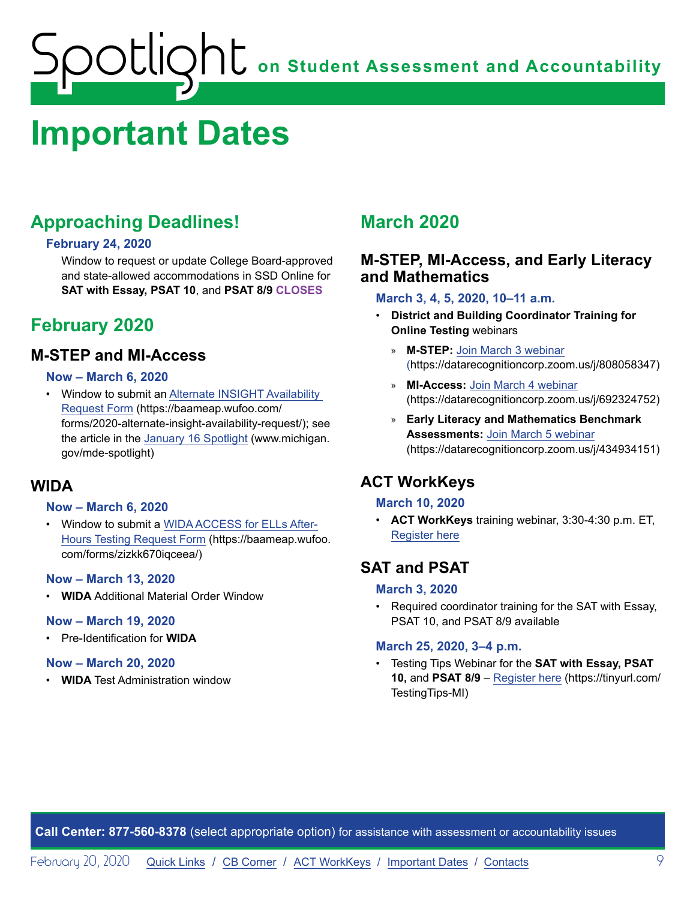## <span id="page-8-1"></span><span id="page-8-0"></span>**Important Dates**

#### **Approaching Deadlines!**

#### **February 24, 2020**

Window to request or update College Board-approved and state-allowed accommodations in SSD Online for **SAT with Essay, PSAT 10**, and **PSAT 8/9 CLOSES**

#### **February 2020**

#### **M-STEP and MI-Access**

#### **Now – March 6, 2020**

• Window to submit an [Alternate INSIGHT Availability](https://baameap.wufoo.com/forms/2020-alternate-insight-availability-request/)  [Request Form](https://baameap.wufoo.com/forms/2020-alternate-insight-availability-request/) (https://baameap.wufoo.com/ forms/2020-alternate-insight-availability-request/); see the article in the [January 16 Spotlight](https://www.michigan.gov/documents/mde/Spotlight_1-16-20_678716_7.pdf) (www.michigan. gov/mde-spotlight)

#### **WIDA**

#### **Now – March 6, 2020**

• Window to submit a [WIDA ACCESS for ELLs After-](https://baameap.wufoo.com/forms/zizkk670iqceea/)[Hours Testing Request Form](https://baameap.wufoo.com/forms/zizkk670iqceea/) (https://baameap.wufoo. com/forms/zizkk670iqceea/)

#### **Now – March 13, 2020**

• **WIDA** Additional Material Order Window

#### **Now – March 19, 2020**

• Pre-Identification for **WIDA**

#### **Now – March 20, 2020**

• **WIDA** Test Administration window

#### **March 2020**

#### **M-STEP, MI-Access, and Early Literacy and Mathematics**

#### **March 3, 4, 5, 2020, 10–11 a.m.**

- **District and Building Coordinator Training for Online Testing** webinars
	- » **M-STEP:** [Join March 3 webinar](https://datarecognitioncorp.zoom.us/j/808058347) (https://datarecognitioncorp.zoom.us/j/808058347)
	- » **MI-Access:** [Join March 4 webinar](https://datarecognitioncorp.zoom.us/j/692324752) (https://datarecognitioncorp.zoom.us/j/692324752)
	- » **Early Literacy and Mathematics Benchmark Assessments:** [Join March 5 webinar](https://datarecognitioncorp.zoom.us/j/434934151) (https://datarecognitioncorp.zoom.us/j/434934151)

#### **ACT WorkKeys**

#### **March 10, 2020**

• **ACT WorkKeys** training webinar, 3:30-4:30 p.m. ET, [Register here](https://event.on24.com/wcc/r/2124036/C50E209AAEDE2B03029BDE55DA459C17)

#### **SAT and PSAT**

#### **March 3, 2020**

• Required coordinator training for the SAT with Essay, PSAT 10, and PSAT 8/9 available

#### **March 25, 2020, 3–4 p.m.**

• Testing Tips Webinar for the **SAT with Essay, PSAT 10,** and **PSAT 8/9** – [Register here](https://tinyurl.com/TestingTips-MI) (https://tinyurl.com/ TestingTips-MI)